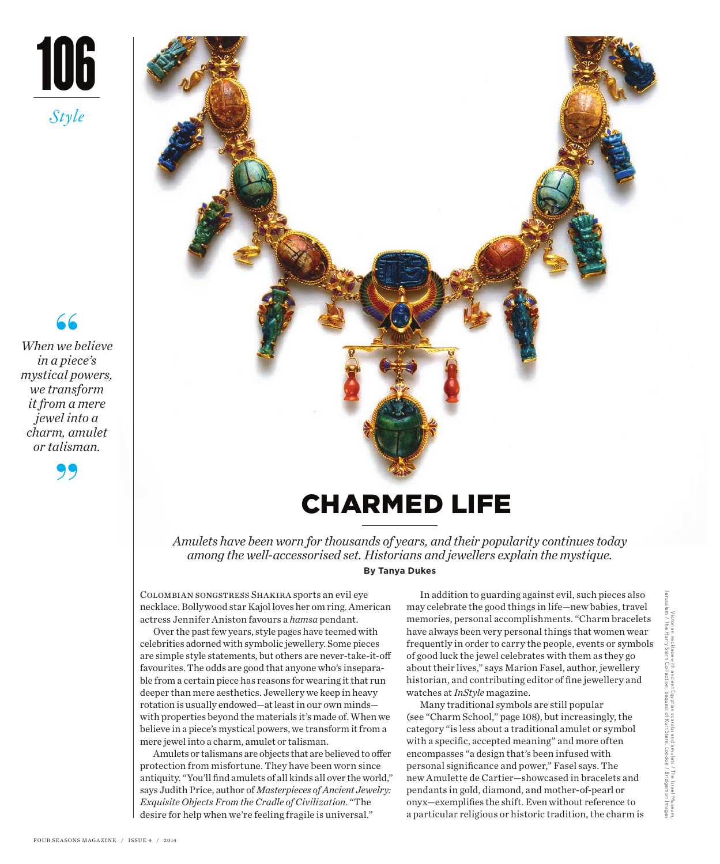

**66**<br>we b<br>a piec *When we believe in a piece's mystical powers, we transform it from a mere jewel into a charm, amulet or talisman.* 





# CHARMED LIFE

*Amulets have been worn for thousands of years, and their popularity continues today among the well-accessorised set. Historians and jewellers explain the mystique.* **By Tanya Dukes**

Colombian songstress Shakira sports an evil eye necklace. Bollywood star Kajol loves her om ring. American actress Jennifer Aniston favours a *hamsa* pendant.

Over the past few years, style pages have teemed with celebrities adorned with symbolic jewellery. Some pieces are simple style statements, but others are never-take-it-off favourites. The odds are good that anyone who's inseparable from a certain piece has reasons for wearing it that run deeper than mere aesthetics. Jewellery we keep in heavy rotation is usually endowed—at least in our own minds with properties beyond the materials it's made of. When we believe in a piece's mystical powers, we transform it from a mere jewel into a charm, amulet or talisman.

Amulets or talismans are objects that are believed to offer protection from misfortune. They have been worn since antiquity. "You'll find amulets of all kinds all over the world," says Judith Price, author of *Masterpieces of Ancient Jewelry: Exquisite Objects From the Cradle of Civilization*. "The desire for help when we're feeling fragile is universal."

In addition to guarding against evil, such pieces also may celebrate the good things in life—new babies, travel memories, personal accomplishments. "Charm bracelets have always been very personal things that women wear frequently in order to carry the people, events or symbols of good luck the jewel celebrates with them as they go about their lives," says Marion Fasel, author, jewellery historian, and contributing editor of fine jewellery and watches at *InStyle* magazine.

Many traditional symbols are still popular (see "Charm School," page 108), but increasingly, the category "is less about a traditional amulet or symbol with a specific, accepted meaning" and more often encompasses "a design that's been infused with personal significance and power," Fasel says. The new Amulette de Cartier—showcased in bracelets and pendants in gold, diamond, and mother-of-pearl or onyx—exemplifies the shift. Even without reference to a particular religious or historic tradition, the charm is